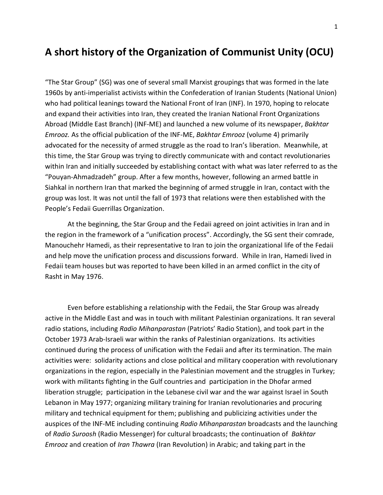## **A short history of the Organization of Communist Unity (OCU)**

"The Star Group" (SG) was one of several small Marxist groupings that was formed in the late 1960s by anti-imperialist activists within the Confederation of Iranian Students (National Union) who had political leanings toward the National Front of Iran (INF). In 1970, hoping to relocate and expand their activities into Iran, they created the Iranian National Front Organizations Abroad (Middle East Branch) (INF-ME) and launched a new volume of its newspaper, *Bakhtar Emrooz.* As the official publication of the INF-ME, *Bakhtar Emrooz* (volume 4) primarily advocated for the necessity of armed struggle as the road to Iran's liberation. Meanwhile, at this time, the Star Group was trying to directly communicate with and contact revolutionaries within Iran and initially succeeded by establishing contact with what was later referred to as the "Pouyan-Ahmadzadeh" group. After a few months, however, following an armed battle in Siahkal in northern Iran that marked the beginning of armed struggle in Iran, contact with the group was lost. It was not until the fall of 1973 that relations were then established with the People's Fedaii Guerrillas Organization.

At the beginning, the Star Group and the Fedaii agreed on joint activities in Iran and in the region in the framework of a "unification process". Accordingly, the SG sent their comrade, Manouchehr Hamedi, as their representative to Iran to join the organizational life of the Fedaii and help move the unification process and discussions forward. While in Iran, Hamedi lived in Fedaii team houses but was reported to have been killed in an armed conflict in the city of Rasht in May 1976.

Even before establishing a relationship with the Fedaii, the Star Group was already active in the Middle East and was in touch with militant Palestinian organizations. It ran several radio stations, including *Radio Mihanparastan* (Patriots' Radio Station), and took part in the October 1973 Arab-Israeli war within the ranks of Palestinian organizations. Its activities continued during the process of unification with the Fedaii and after its termination. The main activities were: solidarity actions and close political and military cooperation with revolutionary organizations in the region, especially in the Palestinian movement and the struggles in Turkey; work with militants fighting in the Gulf countries and participation in the Dhofar armed liberation struggle; participation in the Lebanese civil war and the war against Israel in South Lebanon in May 1977; organizing military training for Iranian revolutionaries and procuring military and technical equipment for them; publishing and publicizing activities under the auspices of the INF-ME including continuing *Radio Mihanparastan* broadcasts and the launching of *Radio Suroosh* (Radio Messenger) for cultural broadcasts; the continuation of *Bakhtar Emrooz* and creation of *Iran Thawra* (Iran Revolution) in Arabic; and taking part in the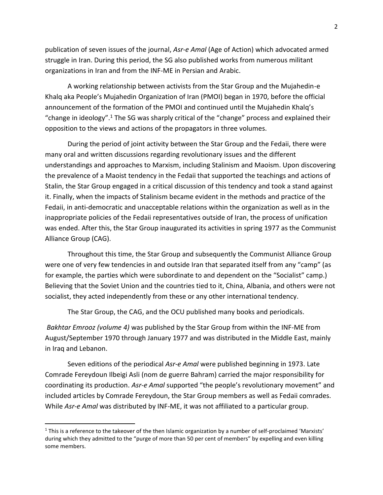publication of seven issues of the journal, *Asr-e Amal* (Age of Action) which advocated armed struggle in Iran. During this period, the SG also published works from numerous militant organizations in Iran and from the INF-ME in Persian and Arabic.

A working relationship between activists from the Star Group and the Mujahedin-e Khalq aka People's Mujahedin Organization of Iran (PMOI) began in 1970, before the official announcement of the formation of the PMOI and continued until the Mujahedin Khalq's "change in ideology".<sup>1</sup> The SG was sharply critical of the "change" process and explained their opposition to the views and actions of the propagators in three volumes.

During the period of joint activity between the Star Group and the Fedaii, there were many oral and written discussions regarding revolutionary issues and the different understandings and approaches to Marxism, including Stalinism and Maoism. Upon discovering the prevalence of a Maoist tendency in the Fedaii that supported the teachings and actions of Stalin, the Star Group engaged in a critical discussion of this tendency and took a stand against it. Finally, when the impacts of Stalinism became evident in the methods and practice of the Fedaii, in anti-democratic and unacceptable relations within the organization as well as in the inappropriate policies of the Fedaii representatives outside of Iran, the process of unification was ended. After this, the Star Group inaugurated its activities in spring 1977 as the Communist Alliance Group (CAG).

Throughout this time, the Star Group and subsequently the Communist Alliance Group were one of very few tendencies in and outside Iran that separated itself from any "camp" (as for example, the parties which were subordinate to and dependent on the "Socialist" camp.) Believing that the Soviet Union and the countries tied to it, China, Albania, and others were not socialist, they acted independently from these or any other international tendency.

The Star Group, the CAG, and the OCU published many books and periodicals.

*Bakhtar Emrooz (volume 4)* was published by the Star Group from within the INF-ME from August/September 1970 through January 1977 and was distributed in the Middle East, mainly in Iraq and Lebanon.

Seven editions of the periodical *Asr-e Amal* were published beginning in 1973. Late Comrade Fereydoun Ilbeigi Asli (nom de guerre Bahram) carried the major responsibility for coordinating its production. *Asr-e Amal* supported "the people's revolutionary movement" and included articles by Comrade Fereydoun, the Star Group members as well as Fedaii comrades. While *Asr-e Amal* was distributed by INF-ME, it was not affiliated to a particular group.

 $\overline{\phantom{a}}$ 

 $1$  This is a reference to the takeover of the then Islamic organization by a number of self-proclaimed 'Marxists' during which they admitted to the "purge of more than 50 per cent of members" by expelling and even killing some members.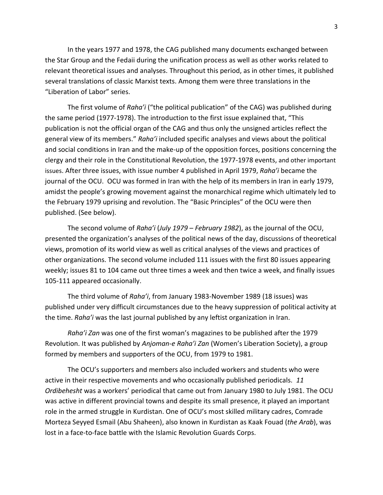In the years 1977 and 1978, the CAG published many documents exchanged between the Star Group and the Fedaii during the unification process as well as other works related to relevant theoretical issues and analyses. Throughout this period, as in other times, it published several translations of classic Marxist texts. Among them were three translations in the "Liberation of Labor" series.

The first volume of *Raha'i* ("the political publication" of the CAG) was published during the same period (1977-1978). The introduction to the first issue explained that, "This publication is not the official organ of the CAG and thus only the unsigned articles reflect the general view of its members." *Raha'i* included specific analyses and views about the political and social conditions in Iran and the make-up of the opposition forces, positions concerning the clergy and their role in the Constitutional Revolution, the 1977-1978 events, and other important issues. After three issues, with issue number 4 published in April 1979, *Raha'i* became the journal of the OCU. OCU was formed in Iran with the help of its members in Iran in early 1979, amidst the people's growing movement against the monarchical regime which ultimately led to the February 1979 uprising and revolution. The "Basic Principles" of the OCU were then published. (See below).

The second volume of *Raha'i* (*July 1979 – February 1982*), as the journal of the OCU, presented the organization's analyses of the political news of the day, discussions of theoretical views, promotion of its world view as well as critical analyses of the views and practices of other organizations. The second volume included 111 issues with the first 80 issues appearing weekly; issues 81 to 104 came out three times a week and then twice a week, and finally issues 105-111 appeared occasionally.

The third volume of *Raha'i*, from January 1983-November 1989 (18 issues) was published under very difficult circumstances due to the heavy suppression of political activity at the time. *Raha'i* was the last journal published by any leftist organization in Iran.

*Raha'i Zan* was one of the first woman's magazines to be published after the 1979 Revolution. It was published by *Anjoman-e Raha'i Zan* (Women's Liberation Society), a group formed by members and supporters of the OCU, from 1979 to 1981.

The OCU's supporters and members also included workers and students who were active in their respective movements and who occasionally published periodicals. *11 Ordibehesht* was a workers' periodical that came out from January 1980 to July 1981. The OCU was active in different provincial towns and despite its small presence, it played an important role in the armed struggle in Kurdistan. One of OCU's most skilled military cadres, Comrade Morteza Seyyed Esmail (Abu Shaheen), also known in Kurdistan as Kaak Fouad (*the Arab*), was lost in a face-to-face battle with the Islamic Revolution Guards Corps.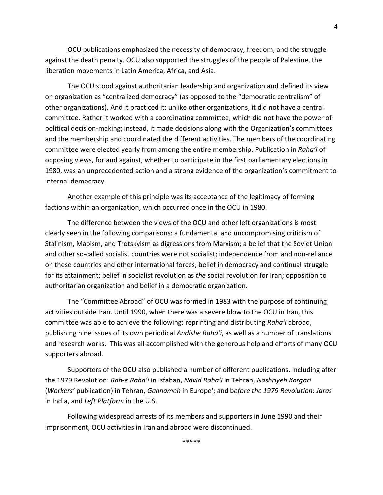OCU publications emphasized the necessity of democracy, freedom, and the struggle against the death penalty. OCU also supported the struggles of the people of Palestine, the liberation movements in Latin America, Africa, and Asia.

The OCU stood against authoritarian leadership and organization and defined its view on organization as "centralized democracy" (as opposed to the "democratic centralism" of other organizations). And it practiced it: unlike other organizations, it did not have a central committee. Rather it worked with a coordinating committee, which did not have the power of political decision-making; instead, it made decisions along with the Organization's committees and the membership and coordinated the different activities. The members of the coordinating committee were elected yearly from among the entire membership. Publication in *Raha'i* of opposing views, for and against, whether to participate in the first parliamentary elections in 1980, was an unprecedented action and a strong evidence of the organization's commitment to internal democracy.

Another example of this principle was its acceptance of the legitimacy of forming factions within an organization, which occurred once in the OCU in 1980.

The difference between the views of the OCU and other left organizations is most clearly seen in the following comparisons: a fundamental and uncompromising criticism of Stalinism, Maoism, and Trotskyism as digressions from Marxism; a belief that the Soviet Union and other so-called socialist countries were not socialist; independence from and non-reliance on these countries and other international forces; belief in democracy and continual struggle for its attainment; belief in socialist revolution as *the* social revolution for Iran; opposition to authoritarian organization and belief in a democratic organization.

The "Committee Abroad" of OCU was formed in 1983 with the purpose of continuing activities outside Iran. Until 1990, when there was a severe blow to the OCU in Iran, this committee was able to achieve the following: reprinting and distributing *Raha'i* abroad, publishing nine issues of its own periodical *Andishe Raha'i*, as well as a number of translations and research works. This was all accomplished with the generous help and efforts of many OCU supporters abroad.

Supporters of the OCU also published a number of different publications. Including after the 1979 Revolution: *Rah-e Raha'i* in Isfahan, *Navid Raha'i* in Tehran, *Nashriyeh Kargari* (*Workers'* publication) in Tehran, *Gahnameh* in Europe'; and b*efore the 1979 Revolution*: *Jaras* in India, and *Left Platform* in the U.S.

Following widespread arrests of its members and supporters in June 1990 and their imprisonment, OCU activities in Iran and abroad were discontinued.

\*\*\*\*\*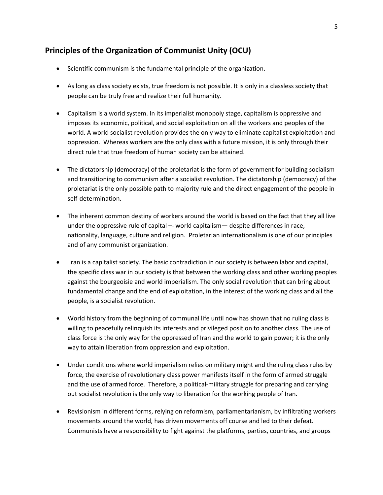## **Principles of the Organization of Communist Unity (OCU)**

- Scientific communism is the fundamental principle of the organization.
- As long as class society exists, true freedom is not possible. It is only in a classless society that people can be truly free and realize their full humanity.
- Capitalism is a world system. In its imperialist monopoly stage, capitalism is oppressive and imposes its economic, political, and social exploitation on all the workers and peoples of the world. A world socialist revolution provides the only way to eliminate capitalist exploitation and oppression. Whereas workers are the only class with a future mission, it is only through their direct rule that true freedom of human society can be attained.
- The dictatorship (democracy) of the proletariat is the form of government for building socialism and transitioning to communism after a socialist revolution. The dictatorship (democracy) of the proletariat is the only possible path to majority rule and the direct engagement of the people in self-determination.
- The inherent common destiny of workers around the world is based on the fact that they all live under the oppressive rule of capital –- world capitalism— despite differences in race, nationality, language, culture and religion. Proletarian internationalism is one of our principles and of any communist organization.
- Iran is a capitalist society. The basic contradiction in our society is between labor and capital, the specific class war in our society is that between the working class and other working peoples against the bourgeoisie and world imperialism. The only social revolution that can bring about fundamental change and the end of exploitation, in the interest of the working class and all the people, is a socialist revolution.
- World history from the beginning of communal life until now has shown that no ruling class is willing to peacefully relinquish its interests and privileged position to another class. The use of class force is the only way for the oppressed of Iran and the world to gain power; it is the only way to attain liberation from oppression and exploitation.
- Under conditions where world imperialism relies on military might and the ruling class rules by force, the exercise of revolutionary class power manifests itself in the form of armed struggle and the use of armed force. Therefore, a political-military struggle for preparing and carrying out socialist revolution is the only way to liberation for the working people of Iran.
- Revisionism in different forms, relying on reformism, parliamentarianism, by infiltrating workers movements around the world, has driven movements off course and led to their defeat. Communists have a responsibility to fight against the platforms, parties, countries, and groups